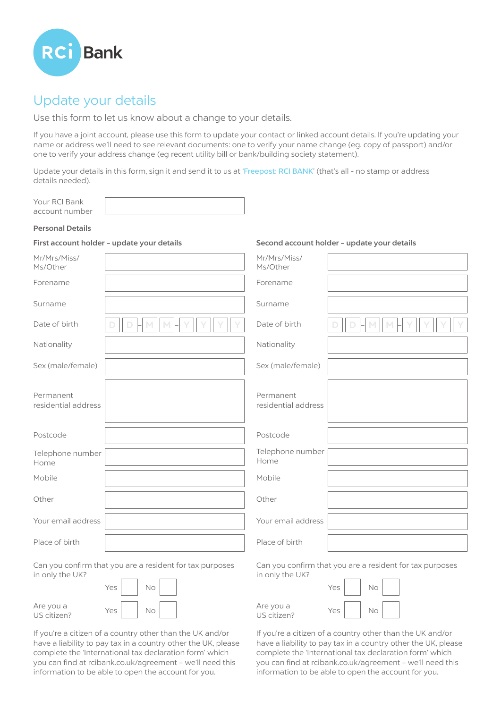

# Update your details

Use this form to let us know about a change to your details.

If you have a joint account, please use this form to update your contact or linked account details. If you're updating your name or address we'll need to see relevant documents: one to verify your name change (eg. copy of passport) and/or one to verify your address change (eg recent utility bill or bank/building society statement).

Update your details in this form, sign it and send it to us at 'Freepost: RCI BANK' (that's all - no stamp or address details needed).

Your RCI Bank account number

#### Personal Details

# First account holder – update your details

| Mr/Mrs/Miss/<br>Ms/Other         | Mr/Mrs/Miss/<br>Ms/Other         |  |
|----------------------------------|----------------------------------|--|
| Forename                         | Forename                         |  |
| Surname                          | Surname                          |  |
| Date of birth                    | Date of birth                    |  |
| Nationality                      | Nationality                      |  |
| Sex (male/female)                | Sex (male/female)                |  |
| Permanent<br>residential address | Permanent<br>residential address |  |
| Postcode                         | Postcode                         |  |
| Telephone number<br>Home         | Telephone number<br>Home         |  |
| Mobile                           | Mobile                           |  |
| Other                            | Other                            |  |
| Your email address               | Your email address               |  |
| Place of birth                   | Place of birth                   |  |

Can you confirm that you are a resident for tax purposes in only the UK?

 $N<sub>O</sub>$ 

 $No$ 

|                          | Yes |  |
|--------------------------|-----|--|
| Are you a<br>US citizen? | Yes |  |

If you're a citizen of a country other than the UK and/or have a liability to pay tax in a country other the UK, please complete the 'International tax declaration form' which you can find at rcibank.co.uk/agreement – we'll need this information to be able to open the account for you.

Can you confirm that you are a resident for tax purposes in only the UK?

Second account holder – update your details

| Are you a   |  |
|-------------|--|
| US citizen? |  |

 $N<sub>0</sub>$  $Yes$   $No$ 

If you're a citizen of a country other than the UK and/or have a liability to pay tax in a country other the UK, please complete the 'International tax declaration form' which you can find at rcibank.co.uk/agreement – we'll need this information to be able to open the account for you.